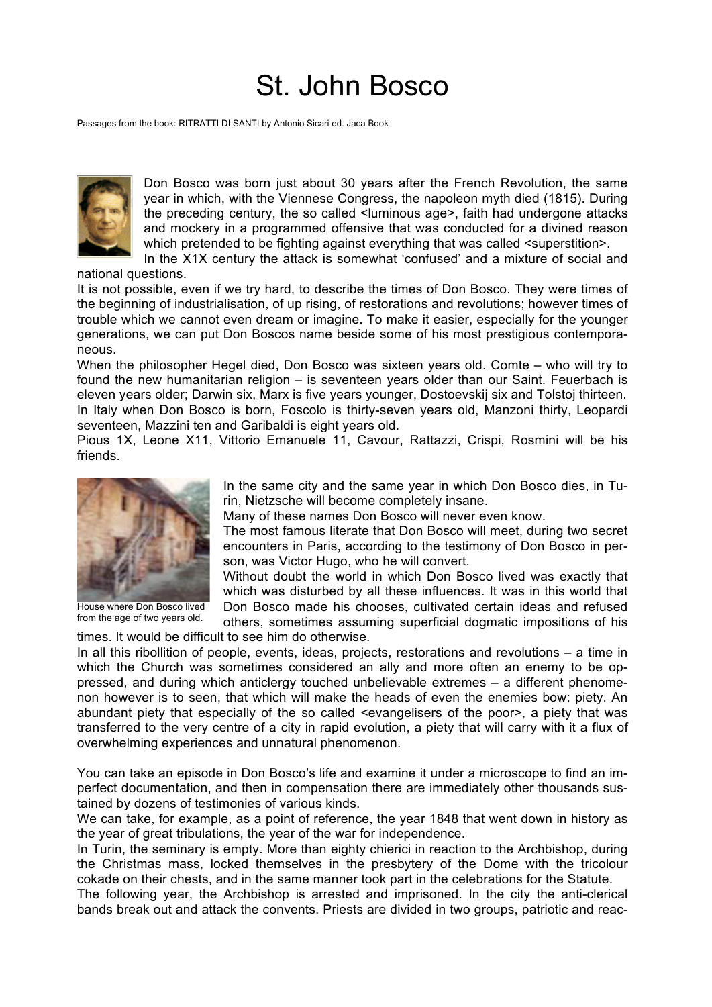## St. John Bosco

Passages from the book: RITRATTI DI SANTI by Antonio Sicari ed. Jaca Book



Don Bosco was born just about 30 years after the French Revolution, the same year in which, with the Viennese Congress, the napoleon myth died (1815). During the preceding century, the so called <luminous age>, faith had undergone attacks and mockery in a programmed offensive that was conducted for a divined reason which pretended to be fighting against everything that was called <superstition>. In the X1X century the attack is somewhat 'confused' and a mixture of social and

national questions.

It is not possible, even if we try hard, to describe the times of Don Bosco. They were times of the beginning of industrialisation, of up rising, of restorations and revolutions; however times of trouble which we cannot even dream or imagine. To make it easier, especially for the younger generations, we can put Don Boscos name beside some of his most prestigious contemporaneous.

When the philosopher Hegel died, Don Bosco was sixteen years old. Comte – who will try to found the new humanitarian religion – is seventeen years older than our Saint. Feuerbach is eleven years older; Darwin six, Marx is five years younger, Dostoevskij six and Tolstoj thirteen. In Italy when Don Bosco is born, Foscolo is thirty-seven years old, Manzoni thirty, Leopardi seventeen, Mazzini ten and Garibaldi is eight years old.

Pious 1X. Leone X11, Vittorio Emanuele 11, Cavour, Rattazzi, Crispi, Rosmini will be his friends.



House where Don Bosco lived from the age of two years old.

In the same city and the same year in which Don Bosco dies, in Turin, Nietzsche will become completely insane.

Many of these names Don Bosco will never even know.

The most famous literate that Don Bosco will meet, during two secret encounters in Paris, according to the testimony of Don Bosco in person, was Victor Hugo, who he will convert.

Without doubt the world in which Don Bosco lived was exactly that which was disturbed by all these influences. It was in this world that Don Bosco made his chooses, cultivated certain ideas and refused

others, sometimes assuming superficial dogmatic impositions of his times. It would be difficult to see him do otherwise.

In all this ribollition of people, events, ideas, projects, restorations and revolutions – a time in which the Church was sometimes considered an ally and more often an enemy to be oppressed, and during which anticlergy touched unbelievable extremes – a different phenomenon however is to seen, that which will make the heads of even the enemies bow: piety. An abundant piety that especially of the so called <evangelisers of the poor>, a piety that was transferred to the very centre of a city in rapid evolution, a piety that will carry with it a flux of overwhelming experiences and unnatural phenomenon.

You can take an episode in Don Bosco's life and examine it under a microscope to find an imperfect documentation, and then in compensation there are immediately other thousands sustained by dozens of testimonies of various kinds.

We can take, for example, as a point of reference, the year 1848 that went down in history as the year of great tribulations, the year of the war for independence.

In Turin, the seminary is empty. More than eighty chierici in reaction to the Archbishop, during the Christmas mass, locked themselves in the presbytery of the Dome with the tricolour cokade on their chests, and in the same manner took part in the celebrations for the Statute.

The following year, the Archbishop is arrested and imprisoned. In the city the anti-clerical bands break out and attack the convents. Priests are divided in two groups, patriotic and reac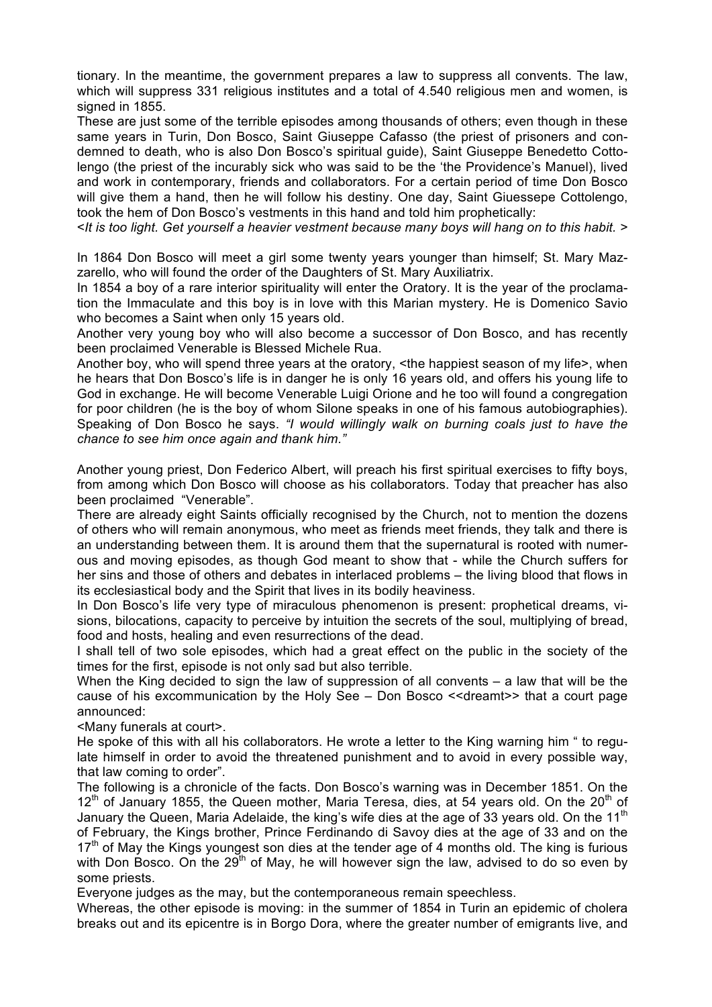tionary. In the meantime, the government prepares a law to suppress all convents. The law, which will suppress 331 religious institutes and a total of 4.540 religious men and women, is signed in 1855.

These are just some of the terrible episodes among thousands of others; even though in these same years in Turin, Don Bosco, Saint Giuseppe Cafasso (the priest of prisoners and condemned to death, who is also Don Bosco's spiritual guide), Saint Giuseppe Benedetto Cottolengo (the priest of the incurably sick who was said to be the 'the Providence's Manuel), lived and work in contemporary, friends and collaborators. For a certain period of time Don Bosco will give them a hand, then he will follow his destiny. One day, Saint Giuessepe Cottolengo, took the hem of Don Bosco's vestments in this hand and told him prophetically:

<*It is too light. Get yourself a heavier vestment because many boys will hang on to this habit. >*

In 1864 Don Bosco will meet a girl some twenty years younger than himself; St. Mary Mazzarello, who will found the order of the Daughters of St. Mary Auxiliatrix.

In 1854 a boy of a rare interior spirituality will enter the Oratory. It is the year of the proclamation the Immaculate and this boy is in love with this Marian mystery. He is Domenico Savio who becomes a Saint when only 15 years old.

Another very young boy who will also become a successor of Don Bosco, and has recently been proclaimed Venerable is Blessed Michele Rua.

Another boy, who will spend three years at the oratory, <the happiest season of my life>, when he hears that Don Bosco's life is in danger he is only 16 years old, and offers his young life to God in exchange. He will become Venerable Luigi Orione and he too will found a congregation for poor children (he is the boy of whom Silone speaks in one of his famous autobiographies). Speaking of Don Bosco he says. *"I would willingly walk on burning coals just to have the chance to see him once again and thank him."*

Another young priest, Don Federico Albert, will preach his first spiritual exercises to fifty boys, from among which Don Bosco will choose as his collaborators. Today that preacher has also been proclaimed "Venerable".

There are already eight Saints officially recognised by the Church, not to mention the dozens of others who will remain anonymous, who meet as friends meet friends, they talk and there is an understanding between them. It is around them that the supernatural is rooted with numerous and moving episodes, as though God meant to show that - while the Church suffers for her sins and those of others and debates in interlaced problems – the living blood that flows in its ecclesiastical body and the Spirit that lives in its bodily heaviness.

In Don Bosco's life very type of miraculous phenomenon is present: prophetical dreams, visions, bilocations, capacity to perceive by intuition the secrets of the soul, multiplying of bread, food and hosts, healing and even resurrections of the dead.

I shall tell of two sole episodes, which had a great effect on the public in the society of the times for the first, episode is not only sad but also terrible.

When the King decided to sign the law of suppression of all convents – a law that will be the cause of his excommunication by the Holy See – Don Bosco <<dreamt>> that a court page announced:

<Many funerals at court>.

He spoke of this with all his collaborators. He wrote a letter to the King warning him " to regulate himself in order to avoid the threatened punishment and to avoid in every possible way, that law coming to order".

The following is a chronicle of the facts. Don Bosco's warning was in December 1851. On the  $12<sup>th</sup>$  of January 1855, the Queen mother, Maria Teresa, dies, at 54 years old. On the  $20<sup>th</sup>$  of January the Queen, Maria Adelaide, the king's wife dies at the age of 33 years old. On the 11<sup>th</sup> of February, the Kings brother, Prince Ferdinando di Savoy dies at the age of 33 and on the  $17<sup>th</sup>$  of May the Kings youngest son dies at the tender age of 4 months old. The king is furious with Don Bosco. On the 29<sup>th</sup> of May, he will however sign the law, advised to do so even by some priests.

Everyone judges as the may, but the contemporaneous remain speechless.

Whereas, the other episode is moving: in the summer of 1854 in Turin an epidemic of cholera breaks out and its epicentre is in Borgo Dora, where the greater number of emigrants live, and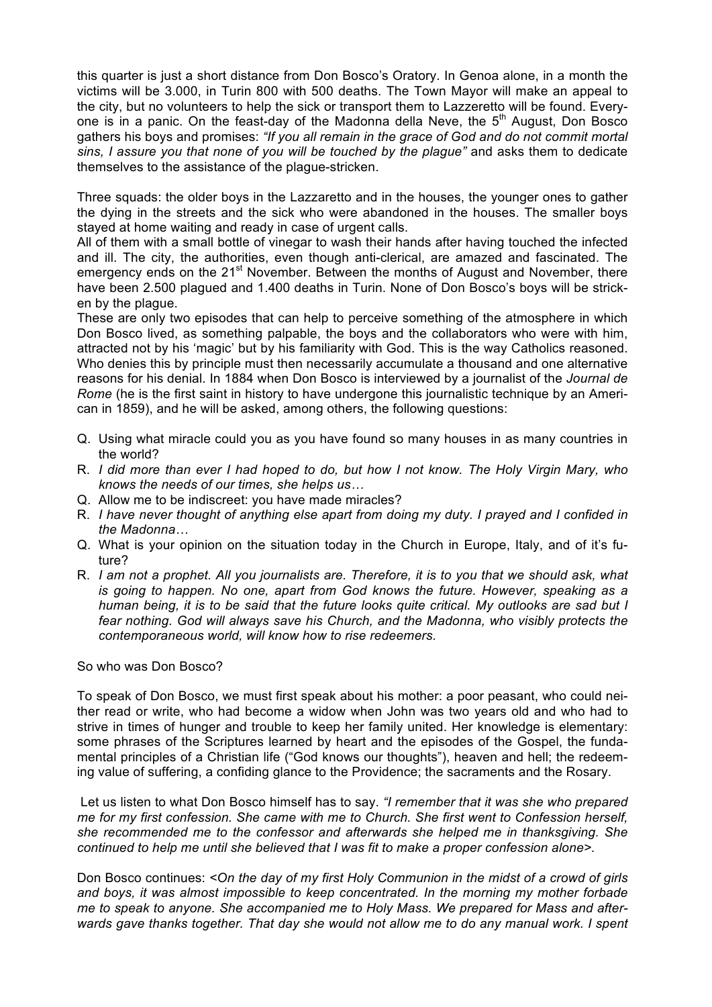this quarter is just a short distance from Don Bosco's Oratory. In Genoa alone, in a month the victims will be 3.000, in Turin 800 with 500 deaths. The Town Mayor will make an appeal to the city, but no volunteers to help the sick or transport them to Lazzeretto will be found. Everyone is in a panic. On the feast-day of the Madonna della Neve, the  $5<sup>th</sup>$  August, Don Bosco gathers his boys and promises: *"If you all remain in the grace of God and do not commit mortal sins, I assure you that none of you will be touched by the plague"* and asks them to dedicate themselves to the assistance of the plague-stricken.

Three squads: the older boys in the Lazzaretto and in the houses, the younger ones to gather the dying in the streets and the sick who were abandoned in the houses. The smaller boys stayed at home waiting and ready in case of urgent calls.

All of them with a small bottle of vinegar to wash their hands after having touched the infected and ill. The city, the authorities, even though anti-clerical, are amazed and fascinated. The emergency ends on the 21<sup>st</sup> November. Between the months of August and November, there have been 2.500 plagued and 1.400 deaths in Turin. None of Don Bosco's boys will be stricken by the plague.

These are only two episodes that can help to perceive something of the atmosphere in which Don Bosco lived, as something palpable, the boys and the collaborators who were with him, attracted not by his 'magic' but by his familiarity with God. This is the way Catholics reasoned. Who denies this by principle must then necessarily accumulate a thousand and one alternative reasons for his denial. In 1884 when Don Bosco is interviewed by a journalist of the *Journal de Rome* (he is the first saint in history to have undergone this journalistic technique by an American in 1859), and he will be asked, among others, the following questions:

- Q. Using what miracle could you as you have found so many houses in as many countries in the world?
- R. *I did more than ever I had hoped to do, but how I not know. The Holy Virgin Mary, who knows the needs of our times, she helps us…*
- Q. Allow me to be indiscreet: you have made miracles?
- R. *I have never thought of anything else apart from doing my duty. I prayed and I confided in the Madonna…*
- Q. What is your opinion on the situation today in the Church in Europe, Italy, and of it's future?
- R. *I am not a prophet. All you journalists are. Therefore, it is to you that we should ask, what is going to happen. No one, apart from God knows the future. However, speaking as a human being, it is to be said that the future looks quite critical. My outlooks are sad but I fear nothing. God will always save his Church, and the Madonna, who visibly protects the contemporaneous world, will know how to rise redeemers.*

So who was Don Bosco?

To speak of Don Bosco, we must first speak about his mother: a poor peasant, who could neither read or write, who had become a widow when John was two years old and who had to strive in times of hunger and trouble to keep her family united. Her knowledge is elementary: some phrases of the Scriptures learned by heart and the episodes of the Gospel, the fundamental principles of a Christian life ("God knows our thoughts"), heaven and hell; the redeeming value of suffering, a confiding glance to the Providence; the sacraments and the Rosary.

Let us listen to what Don Bosco himself has to say. *"I remember that it was she who prepared me for my first confession. She came with me to Church. She first went to Confession herself, she recommended me to the confessor and afterwards she helped me in thanksgiving. She continued to help me until she believed that I was fit to make a proper confession alone>.*

Don Bosco continues: *<On the day of my first Holy Communion in the midst of a crowd of girls and boys, it was almost impossible to keep concentrated. In the morning my mother forbade me to speak to anyone. She accompanied me to Holy Mass. We prepared for Mass and afterwards gave thanks together. That day she would not allow me to do any manual work. I spent*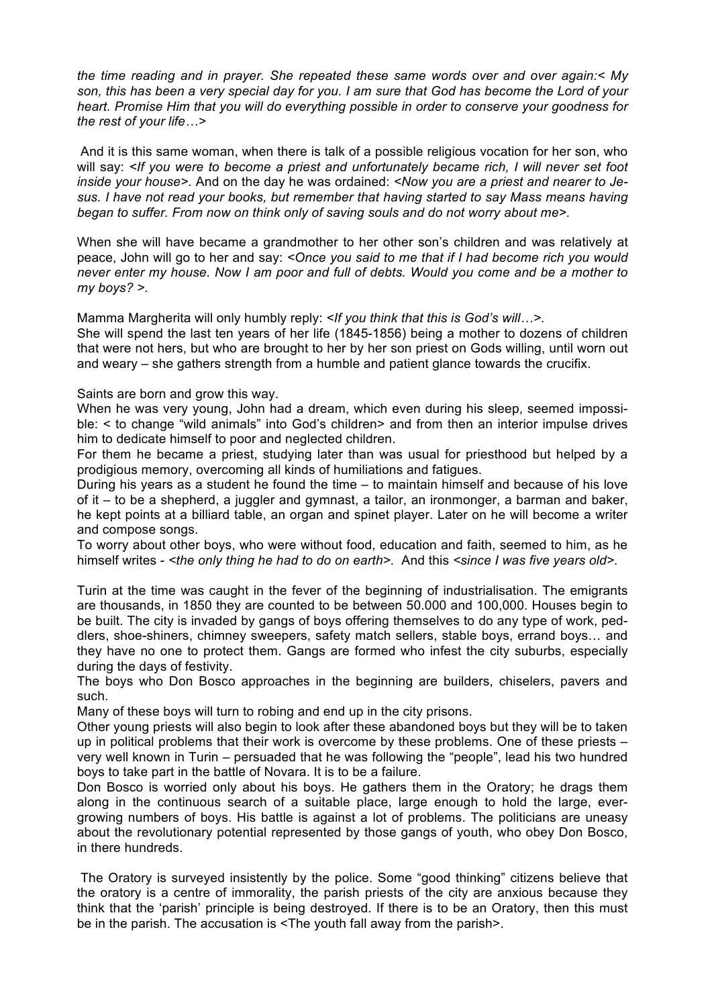*the time reading and in prayer. She repeated these same words over and over again:< My son, this has been a very special day for you. I am sure that God has become the Lord of your heart. Promise Him that you will do everything possible in order to conserve your goodness for the rest of your life…>*

And it is this same woman, when there is talk of a possible religious vocation for her son, who will say: *<If you were to become a priest and unfortunately became rich, I will never set foot inside your house>.* And on the day he was ordained: *<Now you are a priest and nearer to Jesus. I have not read your books, but remember that having started to say Mass means having began to suffer. From now on think only of saving souls and do not worry about me>.*

When she will have became a grandmother to her other son's children and was relatively at peace, John will go to her and say: *<Once you said to me that if I had become rich you would never enter my house. Now I am poor and full of debts. Would you come and be a mother to my boys? >.*

Mamma Margherita will only humbly reply: *<If you think that this is God's will…>.*

She will spend the last ten years of her life (1845-1856) being a mother to dozens of children that were not hers, but who are brought to her by her son priest on Gods willing, until worn out and weary – she gathers strength from a humble and patient glance towards the crucifix.

Saints are born and grow this way.

When he was very young, John had a dream, which even during his sleep, seemed impossible: < to change "wild animals" into God's children> and from then an interior impulse drives him to dedicate himself to poor and neglected children.

For them he became a priest, studying later than was usual for priesthood but helped by a prodigious memory, overcoming all kinds of humiliations and fatigues.

During his years as a student he found the time – to maintain himself and because of his love of it – to be a shepherd, a juggler and gymnast, a tailor, an ironmonger, a barman and baker, he kept points at a billiard table, an organ and spinet player. Later on he will become a writer and compose songs.

To worry about other boys, who were without food, education and faith, seemed to him, as he himself writes - *<the only thing he had to do on earth>.* And this *<since I was five years old>.*

Turin at the time was caught in the fever of the beginning of industrialisation. The emigrants are thousands, in 1850 they are counted to be between 50.000 and 100,000. Houses begin to be built. The city is invaded by gangs of boys offering themselves to do any type of work, peddlers, shoe-shiners, chimney sweepers, safety match sellers, stable boys, errand boys… and they have no one to protect them. Gangs are formed who infest the city suburbs, especially during the days of festivity.

The boys who Don Bosco approaches in the beginning are builders, chiselers, pavers and such.

Many of these boys will turn to robing and end up in the city prisons.

Other young priests will also begin to look after these abandoned boys but they will be to taken up in political problems that their work is overcome by these problems. One of these priests – very well known in Turin – persuaded that he was following the "people", lead his two hundred boys to take part in the battle of Novara. It is to be a failure.

Don Bosco is worried only about his boys. He gathers them in the Oratory; he drags them along in the continuous search of a suitable place, large enough to hold the large, evergrowing numbers of boys. His battle is against a lot of problems. The politicians are uneasy about the revolutionary potential represented by those gangs of youth, who obey Don Bosco, in there hundreds.

The Oratory is surveyed insistently by the police. Some "good thinking" citizens believe that the oratory is a centre of immorality, the parish priests of the city are anxious because they think that the 'parish' principle is being destroyed. If there is to be an Oratory, then this must be in the parish. The accusation is <The youth fall away from the parish>.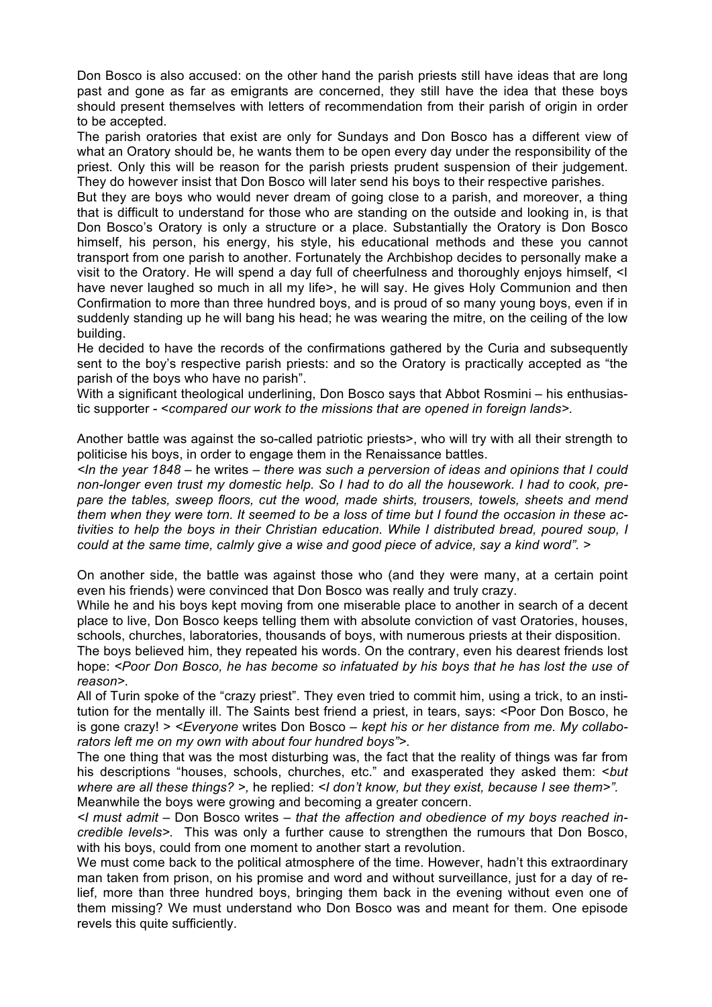Don Bosco is also accused: on the other hand the parish priests still have ideas that are long past and gone as far as emigrants are concerned, they still have the idea that these boys should present themselves with letters of recommendation from their parish of origin in order to be accepted.

The parish oratories that exist are only for Sundays and Don Bosco has a different view of what an Oratory should be, he wants them to be open every day under the responsibility of the priest. Only this will be reason for the parish priests prudent suspension of their judgement. They do however insist that Don Bosco will later send his boys to their respective parishes.

But they are boys who would never dream of going close to a parish, and moreover, a thing that is difficult to understand for those who are standing on the outside and looking in, is that Don Bosco's Oratory is only a structure or a place. Substantially the Oratory is Don Bosco himself, his person, his energy, his style, his educational methods and these you cannot transport from one parish to another. Fortunately the Archbishop decides to personally make a visit to the Oratory. He will spend a day full of cheerfulness and thoroughly enjoys himself, <I have never laughed so much in all my life>, he will say. He gives Holy Communion and then Confirmation to more than three hundred boys, and is proud of so many young boys, even if in suddenly standing up he will bang his head; he was wearing the mitre, on the ceiling of the low building.

He decided to have the records of the confirmations gathered by the Curia and subsequently sent to the boy's respective parish priests: and so the Oratory is practically accepted as "the parish of the boys who have no parish".

With a significant theological underlining, Don Bosco says that Abbot Rosmini – his enthusiastic supporter - <*compared our work to the missions that are opened in foreign lands>.*

Another battle was against the so-called patriotic priests>, who will try with all their strength to politicise his boys, in order to engage them in the Renaissance battles.

*<In the year 1848 –* he writes *– there was such a perversion of ideas and opinions that I could non-longer even trust my domestic help. So I had to do all the housework. I had to cook, prepare the tables, sweep floors, cut the wood, made shirts, trousers, towels, sheets and mend them when they were torn. It seemed to be a loss of time but I found the occasion in these activities to help the boys in their Christian education. While I distributed bread, poured soup, I could at the same time, calmly give a wise and good piece of advice, say a kind word". >*

On another side, the battle was against those who (and they were many, at a certain point even his friends) were convinced that Don Bosco was really and truly crazy.

While he and his boys kept moving from one miserable place to another in search of a decent place to live, Don Bosco keeps telling them with absolute conviction of vast Oratories, houses, schools, churches, laboratories, thousands of boys, with numerous priests at their disposition.

The boys believed him, they repeated his words. On the contrary, even his dearest friends lost hope: *<Poor Don Bosco, he has become so infatuated by his boys that he has lost the use of reason>.*

All of Turin spoke of the "crazy priest". They even tried to commit him, using a trick, to an institution for the mentally ill. The Saints best friend a priest, in tears, says: <Poor Don Bosco, he is gone crazy! > *<Everyone* writes Don Bosco – *kept his or her distance from me. My collaborators left me on my own with about four hundred boys">.*

The one thing that was the most disturbing was, the fact that the reality of things was far from his descriptions "houses, schools, churches, etc." and exasperated they asked them: <*but where are all these things? >,* he replied: *<I don't know, but they exist, because I see them>".* Meanwhile the boys were growing and becoming a greater concern.

*<I must admit –* Don Bosco writes – *that the affection and obedience of my boys reached incredible levels>.* This was only a further cause to strengthen the rumours that Don Bosco, with his boys, could from one moment to another start a revolution.

We must come back to the political atmosphere of the time. However, hadn't this extraordinary man taken from prison, on his promise and word and without surveillance, just for a day of relief, more than three hundred boys, bringing them back in the evening without even one of them missing? We must understand who Don Bosco was and meant for them. One episode revels this quite sufficiently.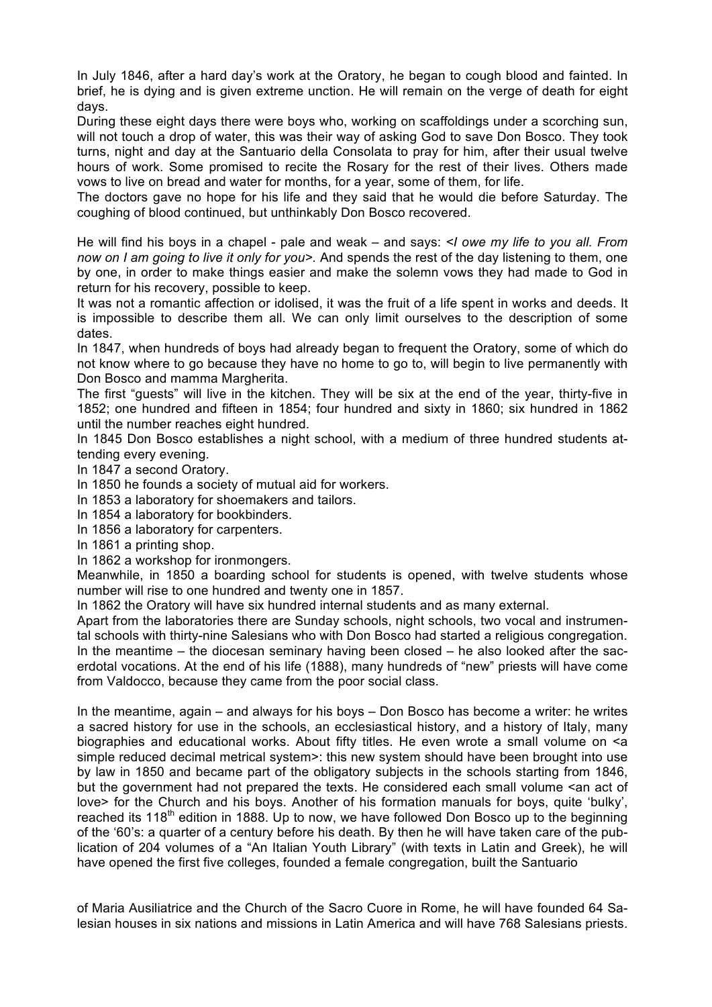In July 1846, after a hard day's work at the Oratory, he began to cough blood and fainted. In brief, he is dying and is given extreme unction. He will remain on the verge of death for eight days.

During these eight days there were boys who, working on scaffoldings under a scorching sun, will not touch a drop of water, this was their way of asking God to save Don Bosco. They took turns, night and day at the Santuario della Consolata to pray for him, after their usual twelve hours of work. Some promised to recite the Rosary for the rest of their lives. Others made vows to live on bread and water for months, for a year, some of them, for life.

The doctors gave no hope for his life and they said that he would die before Saturday. The coughing of blood continued, but unthinkably Don Bosco recovered.

He will find his boys in a chapel - pale and weak – and says: *<I owe my life to you all. From now on I am going to live it only for you>.* And spends the rest of the day listening to them, one by one, in order to make things easier and make the solemn vows they had made to God in return for his recovery, possible to keep.

It was not a romantic affection or idolised, it was the fruit of a life spent in works and deeds. It is impossible to describe them all. We can only limit ourselves to the description of some dates.

In 1847, when hundreds of boys had already began to frequent the Oratory, some of which do not know where to go because they have no home to go to, will begin to live permanently with Don Bosco and mamma Margherita.

The first "guests" will live in the kitchen. They will be six at the end of the year, thirty-five in 1852; one hundred and fifteen in 1854; four hundred and sixty in 1860; six hundred in 1862 until the number reaches eight hundred.

In 1845 Don Bosco establishes a night school, with a medium of three hundred students attending every evening.

In 1847 a second Oratory.

In 1850 he founds a society of mutual aid for workers.

In 1853 a laboratory for shoemakers and tailors.

In 1854 a laboratory for bookbinders.

In 1856 a laboratory for carpenters.

In 1861 a printing shop.

In 1862 a workshop for ironmongers.

Meanwhile, in 1850 a boarding school for students is opened, with twelve students whose number will rise to one hundred and twenty one in 1857.

In 1862 the Oratory will have six hundred internal students and as many external.

Apart from the laboratories there are Sunday schools, night schools, two vocal and instrumental schools with thirty-nine Salesians who with Don Bosco had started a religious congregation. In the meantime – the diocesan seminary having been closed – he also looked after the sacerdotal vocations. At the end of his life (1888), many hundreds of "new" priests will have come from Valdocco, because they came from the poor social class.

In the meantime, again – and always for his boys – Don Bosco has become a writer: he writes a sacred history for use in the schools, an ecclesiastical history, and a history of Italy, many biographies and educational works. About fifty titles. He even wrote a small volume on  $\leq a$ simple reduced decimal metrical system>: this new system should have been brought into use by law in 1850 and became part of the obligatory subjects in the schools starting from 1846, but the government had not prepared the texts. He considered each small volume <an act of love> for the Church and his boys. Another of his formation manuals for boys, quite 'bulky', reached its  $118<sup>th</sup>$  edition in 1888. Up to now, we have followed Don Bosco up to the beginning of the '60's: a quarter of a century before his death. By then he will have taken care of the publication of 204 volumes of a "An Italian Youth Library" (with texts in Latin and Greek), he will have opened the first five colleges, founded a female congregation, built the Santuario

of Maria Ausiliatrice and the Church of the Sacro Cuore in Rome, he will have founded 64 Salesian houses in six nations and missions in Latin America and will have 768 Salesians priests.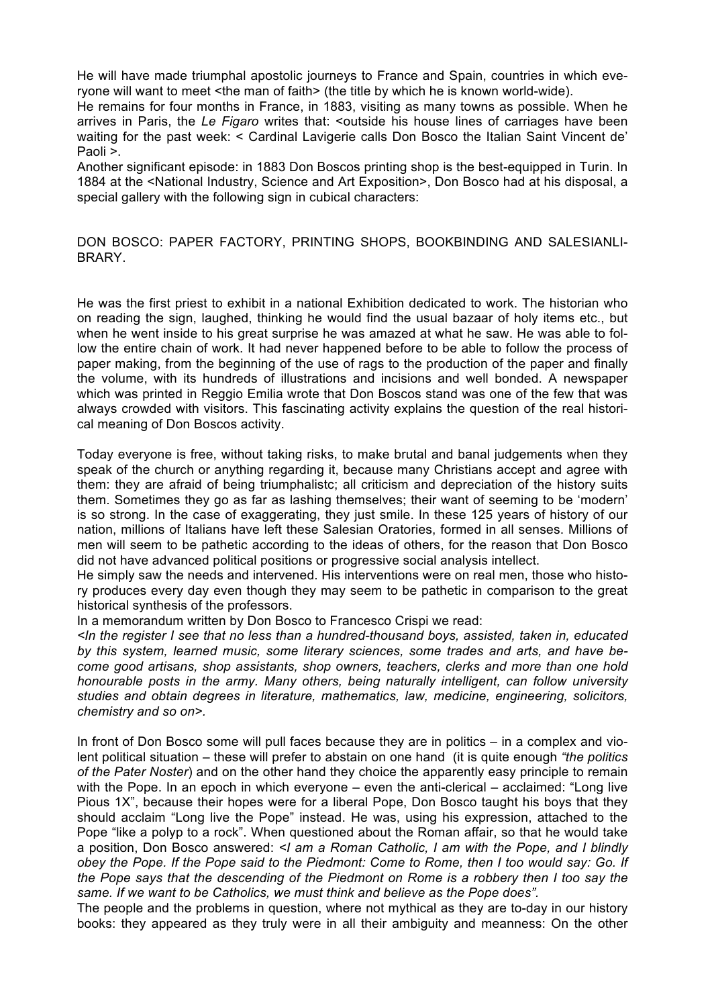He will have made triumphal apostolic journeys to France and Spain, countries in which everyone will want to meet <the man of faith> (the title by which he is known world-wide).

He remains for four months in France, in 1883, visiting as many towns as possible. When he arrives in Paris, the *Le Figaro* writes that: <outside his house lines of carriages have been waiting for the past week: < Cardinal Lavigerie calls Don Bosco the Italian Saint Vincent de' Paoli >.

Another significant episode: in 1883 Don Boscos printing shop is the best-equipped in Turin. In 1884 at the <National Industry, Science and Art Exposition>, Don Bosco had at his disposal, a special gallery with the following sign in cubical characters:

DON BOSCO: PAPER FACTORY, PRINTING SHOPS, BOOKBINDING AND SALESIANLI-**BRARY** 

He was the first priest to exhibit in a national Exhibition dedicated to work. The historian who on reading the sign, laughed, thinking he would find the usual bazaar of holy items etc., but when he went inside to his great surprise he was amazed at what he saw. He was able to follow the entire chain of work. It had never happened before to be able to follow the process of paper making, from the beginning of the use of rags to the production of the paper and finally the volume, with its hundreds of illustrations and incisions and well bonded. A newspaper which was printed in Reggio Emilia wrote that Don Boscos stand was one of the few that was always crowded with visitors. This fascinating activity explains the question of the real historical meaning of Don Boscos activity.

Today everyone is free, without taking risks, to make brutal and banal judgements when they speak of the church or anything regarding it, because many Christians accept and agree with them: they are afraid of being triumphalistc; all criticism and depreciation of the history suits them. Sometimes they go as far as lashing themselves; their want of seeming to be 'modern' is so strong. In the case of exaggerating, they just smile. In these 125 years of history of our nation, millions of Italians have left these Salesian Oratories, formed in all senses. Millions of men will seem to be pathetic according to the ideas of others, for the reason that Don Bosco did not have advanced political positions or progressive social analysis intellect.

He simply saw the needs and intervened. His interventions were on real men, those who history produces every day even though they may seem to be pathetic in comparison to the great historical synthesis of the professors.

In a memorandum written by Don Bosco to Francesco Crispi we read:

*<In the register I see that no less than a hundred-thousand boys, assisted, taken in, educated by this system, learned music, some literary sciences, some trades and arts, and have become good artisans, shop assistants, shop owners, teachers, clerks and more than one hold honourable posts in the army. Many others, being naturally intelligent, can follow university studies and obtain degrees in literature, mathematics, law, medicine, engineering, solicitors, chemistry and so on>.*

In front of Don Bosco some will pull faces because they are in politics – in a complex and violent political situation – these will prefer to abstain on one hand (it is quite enough *"the politics of the Pater Noster*) and on the other hand they choice the apparently easy principle to remain with the Pope. In an epoch in which everyone – even the anti-clerical – acclaimed: "Long live Pious 1X", because their hopes were for a liberal Pope, Don Bosco taught his boys that they should acclaim "Long live the Pope" instead. He was, using his expression, attached to the Pope "like a polyp to a rock". When questioned about the Roman affair, so that he would take a position, Don Bosco answered: *<I am a Roman Catholic, I am with the Pope, and I blindly obey the Pope. If the Pope said to the Piedmont: Come to Rome, then I too would say: Go. If the Pope says that the descending of the Piedmont on Rome is a robbery then I too say the same. If we want to be Catholics, we must think and believe as the Pope does".*

The people and the problems in question, where not mythical as they are to-day in our history books: they appeared as they truly were in all their ambiguity and meanness: On the other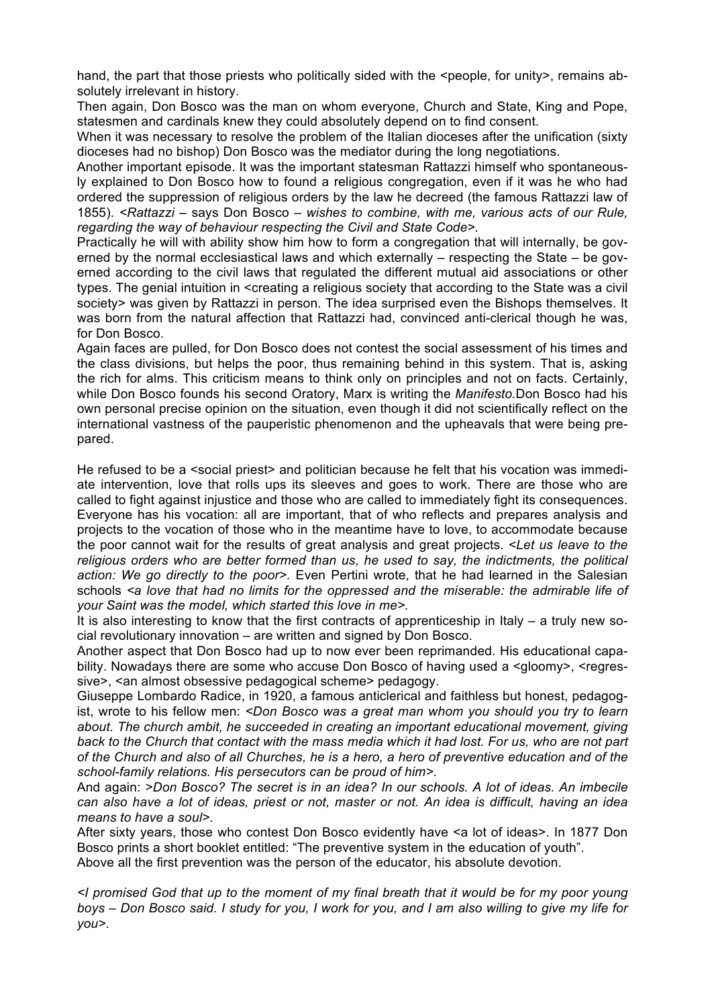hand, the part that those priests who politically sided with the <people, for unity>, remains absolutely irrelevant in history.

Then again, Don Bosco was the man on whom everyone, Church and State, King and Pope, statesmen and cardinals knew they could absolutely depend on to find consent.

When it was necessary to resolve the problem of the Italian dioceses after the unification (sixty dioceses had no bishop) Don Bosco was the mediator during the long negotiations.

Another important episode. It was the important statesman Rattazzi himself who spontaneously explained to Don Bosco how to found a religious congregation, even if it was he who had ordered the suppression of religious orders by the law he decreed (the famous Rattazzi law of 1855). *<Rattazzi –* says Don Bosco – *wishes to combine, with me, various acts of our Rule, regarding the way of behaviour respecting the Civil and State Code>.*

Practically he will with ability show him how to form a congregation that will internally, be governed by the normal ecclesiastical laws and which externally – respecting the State – be governed according to the civil laws that regulated the different mutual aid associations or other types. The genial intuition in <creating a religious society that according to the State was a civil society> was given by Rattazzi in person. The idea surprised even the Bishops themselves. It was born from the natural affection that Rattazzi had, convinced anti-clerical though he was, for Don Bosco.

Again faces are pulled, for Don Bosco does not contest the social assessment of his times and the class divisions, but helps the poor, thus remaining behind in this system. That is, asking the rich for alms. This criticism means to think only on principles and not on facts. Certainly, while Don Bosco founds his second Oratory, Marx is writing the *Manifesto.*Don Bosco had his own personal precise opinion on the situation, even though it did not scientifically reflect on the international vastness of the pauperistic phenomenon and the upheavals that were being prepared.

He refused to be a <social priest> and politician because he felt that his vocation was immediate intervention, love that rolls ups its sleeves and goes to work. There are those who are called to fight against injustice and those who are called to immediately fight its consequences. Everyone has his vocation: all are important, that of who reflects and prepares analysis and projects to the vocation of those who in the meantime have to love, to accommodate because the poor cannot wait for the results of great analysis and great projects. *<Let us leave to the religious orders who are better formed than us, he used to say, the indictments, the political action: We go directly to the poor>.* Even Pertini wrote, that he had learned in the Salesian schools *<a love that had no limits for the oppressed and the miserable: the admirable life of your Saint was the model, which started this love in me>.*

It is also interesting to know that the first contracts of apprenticeship in Italy – a truly new social revolutionary innovation – are written and signed by Don Bosco.

Another aspect that Don Bosco had up to now ever been reprimanded. His educational capability. Nowadays there are some who accuse Don Bosco of having used a <gloomy>, <regressive>, <an almost obsessive pedagogical scheme> pedagogy.

Giuseppe Lombardo Radice, in 1920, a famous anticlerical and faithless but honest, pedagogist, wrote to his fellow men: *<Don Bosco was a great man whom you should you try to learn about. The church ambit, he succeeded in creating an important educational movement, giving back to the Church that contact with the mass media which it had lost. For us, who are not part of the Church and also of all Churches, he is a hero, a hero of preventive education and of the school-family relations. His persecutors can be proud of him>.*

And again: *>Don Bosco? The secret is in an idea? In our schools. A lot of ideas. An imbecile can also have a lot of ideas, priest or not, master or not. An idea is difficult, having an idea means to have a soul>.*

After sixty years, those who contest Don Bosco evidently have <a lot of ideas>. In 1877 Don Bosco prints a short booklet entitled: "The preventive system in the education of youth".

Above all the first prevention was the person of the educator, his absolute devotion.

*<I promised God that up to the moment of my final breath that it would be for my poor young boys – Don Bosco said. I study for you, I work for you, and I am also willing to give my life for you>.*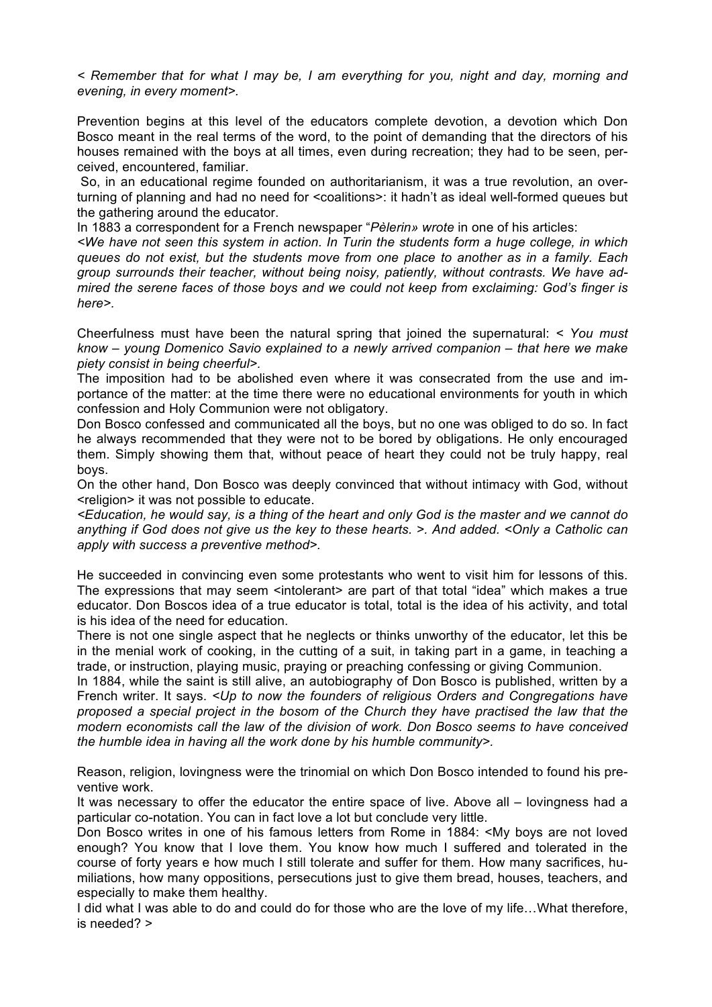*< Remember that for what I may be, I am everything for you, night and day, morning and evening, in every moment>.*

Prevention begins at this level of the educators complete devotion, a devotion which Don Bosco meant in the real terms of the word, to the point of demanding that the directors of his houses remained with the boys at all times, even during recreation; they had to be seen, perceived, encountered, familiar.

So, in an educational regime founded on authoritarianism, it was a true revolution, an overturning of planning and had no need for <coalitions>: it hadn't as ideal well-formed queues but the gathering around the educator.

In 1883 a correspondent for a French newspaper "*Pèlerin» wrote* in one of his articles:

*<We have not seen this system in action. In Turin the students form a huge college, in which queues do not exist, but the students move from one place to another as in a family. Each group surrounds their teacher, without being noisy, patiently, without contrasts. We have admired the serene faces of those boys and we could not keep from exclaiming: God's finger is here>.*

Cheerfulness must have been the natural spring that joined the supernatural: *< You must know – young Domenico Savio explained to a newly arrived companion – that here we make piety consist in being cheerful>.*

The imposition had to be abolished even where it was consecrated from the use and importance of the matter: at the time there were no educational environments for youth in which confession and Holy Communion were not obligatory.

Don Bosco confessed and communicated all the boys, but no one was obliged to do so. In fact he always recommended that they were not to be bored by obligations. He only encouraged them. Simply showing them that, without peace of heart they could not be truly happy, real boys.

On the other hand, Don Bosco was deeply convinced that without intimacy with God, without <religion> it was not possible to educate.

*<Education, he would say, is a thing of the heart and only God is the master and we cannot do anything if God does not give us the key to these hearts. >. And added. <Only a Catholic can apply with success a preventive method>.*

He succeeded in convincing even some protestants who went to visit him for lessons of this. The expressions that may seem <intolerant> are part of that total "idea" which makes a true educator. Don Boscos idea of a true educator is total, total is the idea of his activity, and total is his idea of the need for education.

There is not one single aspect that he neglects or thinks unworthy of the educator, let this be in the menial work of cooking, in the cutting of a suit, in taking part in a game, in teaching a trade, or instruction, playing music, praying or preaching confessing or giving Communion.

In 1884, while the saint is still alive, an autobiography of Don Bosco is published, written by a French writer. It says. *<Up to now the founders of religious Orders and Congregations have proposed a special project in the bosom of the Church they have practised the law that the modern economists call the law of the division of work. Don Bosco seems to have conceived the humble idea in having all the work done by his humble community>.*

Reason, religion, lovingness were the trinomial on which Don Bosco intended to found his preventive work.

It was necessary to offer the educator the entire space of live. Above all – lovingness had a particular co-notation. You can in fact love a lot but conclude very little.

Don Bosco writes in one of his famous letters from Rome in 1884: <My boys are not loved enough? You know that I love them. You know how much I suffered and tolerated in the course of forty years e how much I still tolerate and suffer for them. How many sacrifices, humiliations, how many oppositions, persecutions just to give them bread, houses, teachers, and especially to make them healthy.

I did what I was able to do and could do for those who are the love of my life...What therefore, is needed? >